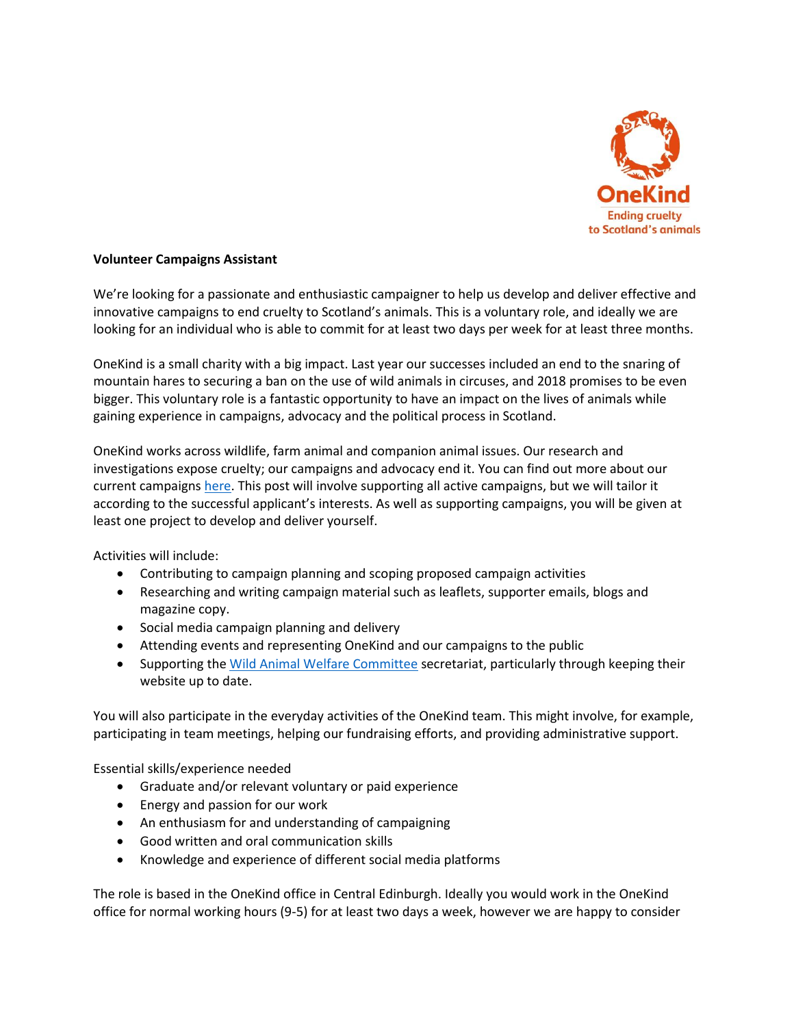

## **Volunteer Campaigns Assistant**

We're looking for a passionate and enthusiastic campaigner to help us develop and deliver effective and innovative campaigns to end cruelty to Scotland's animals. This is a voluntary role, and ideally we are looking for an individual who is able to commit for at least two days per week for at least three months.

OneKind is a small charity with a big impact. Last year our successes included an end to the snaring of mountain hares to securing a ban on the use of wild animals in circuses, and 2018 promises to be even bigger. This voluntary role is a fantastic opportunity to have an impact on the lives of animals while gaining experience in campaigns, advocacy and the political process in Scotland.

OneKind works across wildlife, farm animal and companion animal issues. Our research and investigations expose cruelty; our campaigns and advocacy end it. You can find out more about our current campaign[s here.](https://www.onekind.scot/campaigns/) This post will involve supporting all active campaigns, but we will tailor it according to the successful applicant's interests. As well as supporting campaigns, you will be given at least one project to develop and deliver yourself.

Activities will include:

- Contributing to campaign planning and scoping proposed campaign activities
- Researching and writing campaign material such as leaflets, supporter emails, blogs and magazine copy.
- Social media campaign planning and delivery
- Attending events and representing OneKind and our campaigns to the public
- Supporting the [Wild Animal Welfare Committee](http://www.wawcommittee.org/) secretariat, particularly through keeping their website up to date.

You will also participate in the everyday activities of the OneKind team. This might involve, for example, participating in team meetings, helping our fundraising efforts, and providing administrative support.

Essential skills/experience needed

- Graduate and/or relevant voluntary or paid experience
- Energy and passion for our work
- An enthusiasm for and understanding of campaigning
- Good written and oral communication skills
- Knowledge and experience of different social media platforms

The role is based in the OneKind office in Central Edinburgh. Ideally you would work in the OneKind office for normal working hours (9-5) for at least two days a week, however we are happy to consider